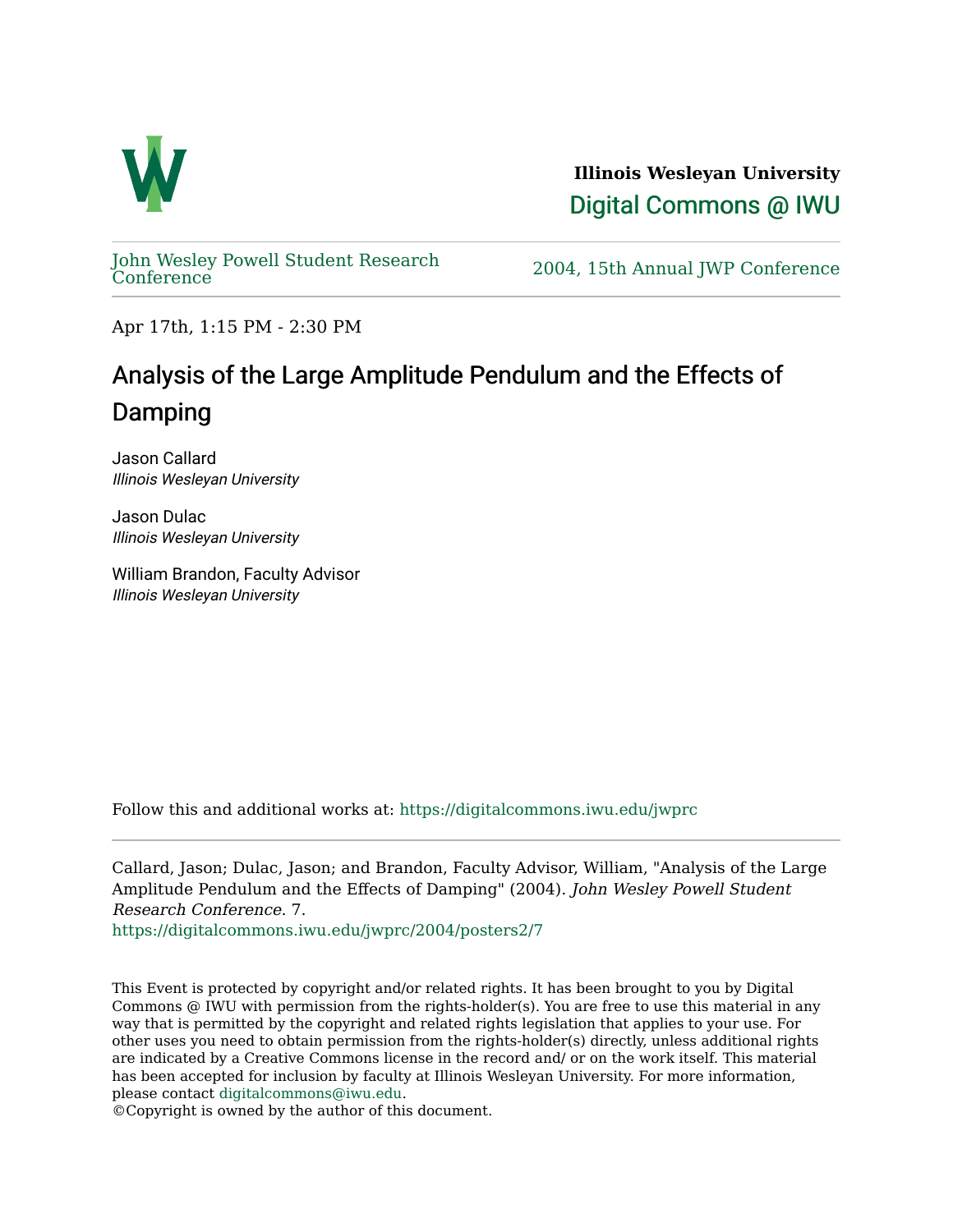

**Illinois Wesleyan University**  [Digital Commons @ IWU](https://digitalcommons.iwu.edu/) 

[John Wesley Powell Student Research](https://digitalcommons.iwu.edu/jwprc) 

2004, 15th Annual JWP [Conference](https://digitalcommons.iwu.edu/jwprc)

Apr 17th, 1:15 PM - 2:30 PM

## Analysis of the Large Amplitude Pendulum and the Effects of Damping

Jason Callard Illinois Wesleyan University

Jason Dulac Illinois Wesleyan University

William Brandon, Faculty Advisor Illinois Wesleyan University

Follow this and additional works at: [https://digitalcommons.iwu.edu/jwprc](https://digitalcommons.iwu.edu/jwprc?utm_source=digitalcommons.iwu.edu%2Fjwprc%2F2004%2Fposters2%2F7&utm_medium=PDF&utm_campaign=PDFCoverPages) 

Callard, Jason; Dulac, Jason; and Brandon, Faculty Advisor, William, "Analysis of the Large Amplitude Pendulum and the Effects of Damping" (2004). John Wesley Powell Student Research Conference. 7.

[https://digitalcommons.iwu.edu/jwprc/2004/posters2/7](https://digitalcommons.iwu.edu/jwprc/2004/posters2/7?utm_source=digitalcommons.iwu.edu%2Fjwprc%2F2004%2Fposters2%2F7&utm_medium=PDF&utm_campaign=PDFCoverPages)

This Event is protected by copyright and/or related rights. It has been brought to you by Digital Commons @ IWU with permission from the rights-holder(s). You are free to use this material in any way that is permitted by the copyright and related rights legislation that applies to your use. For other uses you need to obtain permission from the rights-holder(s) directly, unless additional rights are indicated by a Creative Commons license in the record and/ or on the work itself. This material has been accepted for inclusion by faculty at Illinois Wesleyan University. For more information, please contact [digitalcommons@iwu.edu.](mailto:digitalcommons@iwu.edu)

©Copyright is owned by the author of this document.